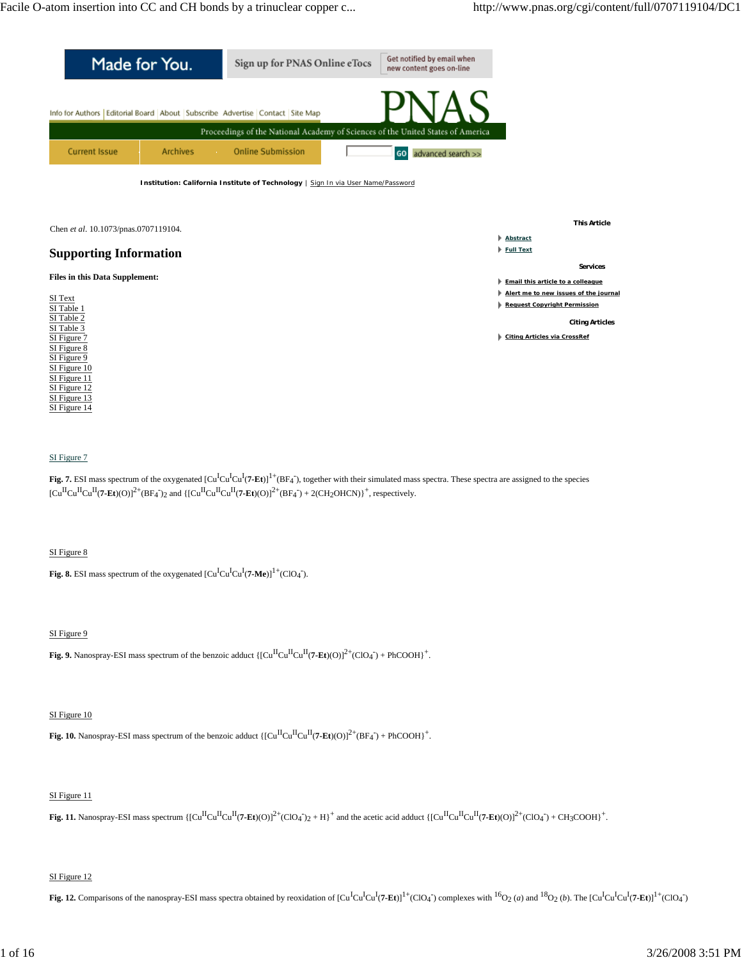

#### SI Figure 7

Fig. 7. ESI mass spectrum of the oxygenated [Cu<sup>I</sup>Cu<sup>I</sup>Cu<sup>I</sup>(7-Et)]<sup>1+</sup>(BF<sub>4</sub>), together with their simulated mass spectra. These spectra are assigned to the species  $\left[\text{Cu}^{\text{II}}\text{Cu}^{\text{II}}(\text{7-Et})(O)\right]^{2+}(\text{BF}_4)$  and  $\left\{\left[\text{Cu}^{\text{II}}\text{Cu}^{\text{II}}(\text{7-Et})(O)\right]^{2+}(\text{BF}_4) + 2(\text{CH}_2\text{OHCN})\right\}^+$ , respectively.

#### SI Figure 8

**Fig. 8.** ESI mass spectrum of the oxygenated  $\left[\text{Cu}^{\text{I}}\text{Cu}^{\text{I}}\text{Cu}^{\text{I}}\text{(7-Me)}\right]^{1+}(\text{ClO}_4^-)$ .

### SI Figure 9

**Fig. 9.** Nanospray-ESI mass spectrum of the benzoic adduct  $\{[Cu^{II}Cu^{II}Cu^{II}(7-Et)(O)]^{2+}(ClO_4^-) + PhCOOH\}^+$ .

#### SI Figure 10

**Fig. 10.** Nanospray-ESI mass spectrum of the benzoic adduct  $\{[Cu^{II}Cu^{II}Cu^{II}(7-Et)(O)]^{2+}(BF_{4}) + PhCOOH\}^{+}$ .

### SI Figure 11

**Fig. 11.** Nanospray-ESI mass spectrum {[Cu<sup>II</sup>Cu<sup>II</sup>Cu<sup>II</sup>(7-**E**t)(O)]<sup>2+</sup>(ClO<sub>4</sub> )<sub>2</sub> + H}<sup>+</sup> and the acetic acid adduct {[Cu<sup>II</sup>Cu<sup>II</sup>(7-**E**t)(O)]<sup>2+</sup>(ClO<sub>4</sub> ) + CH3COOH}<sup>+</sup>.

### SI Figure 12

Fig. 12. Comparisons of the nanospray-ESI mass spectra obtained by reoxidation of  $\left[\text{Cu}^{\text{I}}\text{Cu}^{\text{I}}\text{Cu}^{\text{I}}\text{C}^{1}\text{C}^{1}\text{C}^{1}$  (ClO<sub>4</sub><sup>\*</sup>) complexes with <sup>16</sup>O<sub>2</sub> (a) and <sup>18</sup>O<sub>2</sub> (b). The  $\left[\text{Cu}^{\text{I}}\text{$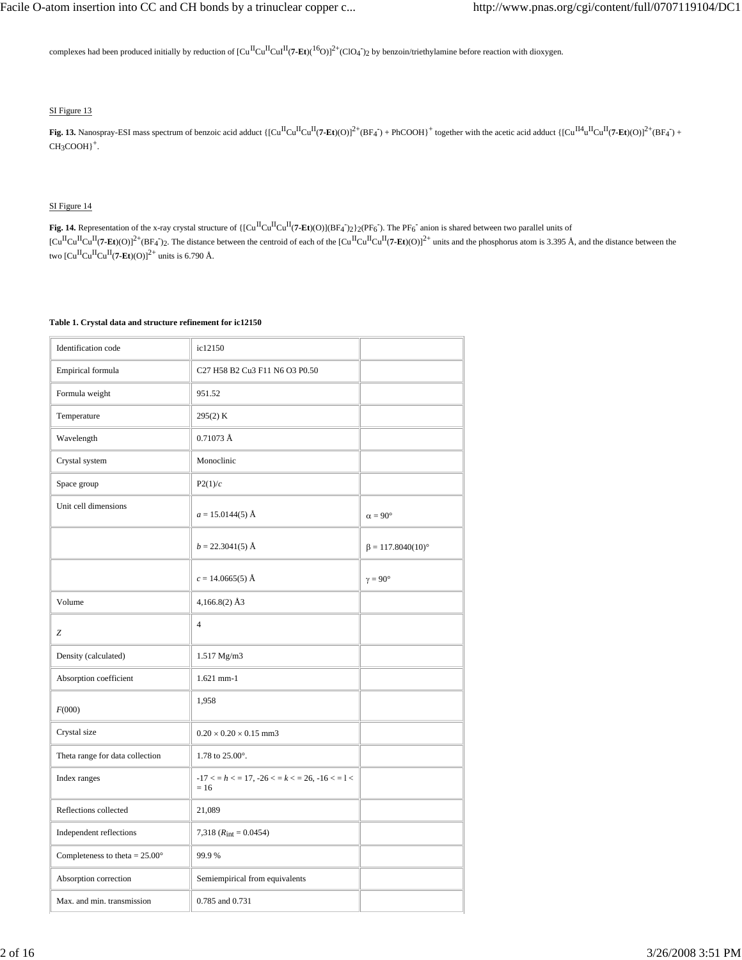complexes had been produced initially by reduction of  $\rm [Cu^{II}Cu^{II}Cu^{II}(7\text{-}Et)(^{16}O)]^{2+}(ClO_{4}^{-})_{2}$  by benzoin/triethylamine before reaction with dioxygen.

# SI Figure 13

Fig. 13. Nanospray-ESI mass spectrum of benzoic acid adduct  $\{[Cu^{\Pi}Cu^{\Pi}Cu^{\Pi}(7\text{-Et})(O)]^2 + (BF_4^-) + PhCOOH\}^+$  together with the acetic acid adduct  $\{[Cu^{\Pi4}u^{\Pi}Cu^{\Pi}(7\text{-Et})(O)]^2 + (BF_4^-) + (BF_5^-) + (BF_6^-) + (BF_7^-) + (BF_7^-) + (BF_8^-) + (BF_9^ CH<sub>3</sub>COOH$ <sup>+</sup>.

### SI Figure 14

**Fig. 14.** Representation of the x-ray crystal structure of  $\{[Cu^{\Pi}Cu^{\Pi}(7-Et)(O)](BF_4)_{2}\} _{2}\} _{2}$  (PF<sub>6</sub>). The PF<sub>6</sub> anion is shared between two parallel units of  $[Cu<sup>H</sup>Cu<sup>H</sup>(**7-Et**)(O)]<sup>2+</sup>(BF<sub>4</sub>)<sub>2</sub>$ . The distance between the centroid of each of the  $[Cu<sup>H</sup>Cu<sup>H</sup>(**7-Et**)(O)]<sup>2+</sup>$  units and the phosphorus atom is 3.395 Å, and the distance between the two  $\left[\mathrm{Cu}^{\mathrm{II}}\mathrm{Cu}^{\mathrm{II}}$ (7-Et)(O)]<sup>2+</sup> units is 6.790 Å.

### **Table 1. Crystal data and structure refinement for ic12150**

| Identification code                     | ic12150                                                   |                          |
|-----------------------------------------|-----------------------------------------------------------|--------------------------|
| Empirical formula                       | C27 H58 B2 Cu3 F11 N6 O3 P0.50                            |                          |
| Formula weight                          | 951.52                                                    |                          |
| Temperature                             | 295(2) K                                                  |                          |
| Wavelength                              | $0.71073 \text{ Å}$                                       |                          |
| Crystal system                          | Monoclinic                                                |                          |
| Space group                             | P2(1)/c                                                   |                          |
| Unit cell dimensions                    | $a = 15.0144(5)$ Å                                        | $\alpha = 90^\circ$      |
|                                         | $b = 22.3041(5)$ Å                                        | $\beta = 117.8040(10)$ ° |
|                                         | $c = 14.0665(5)$ Å                                        | $\gamma = 90^\circ$      |
| Volume                                  | $4,166.8(2)$ Å3                                           |                          |
| Z                                       | $\overline{4}$                                            |                          |
| Density (calculated)                    | 1.517 Mg/m3                                               |                          |
| Absorption coefficient                  | $1.621$ mm-1                                              |                          |
| F(000)                                  | 1,958                                                     |                          |
| Crystal size                            | $0.20 \times 0.20 \times 0.15$ mm3                        |                          |
| Theta range for data collection         | 1.78 to $25.00^{\circ}$ .                                 |                          |
| Index ranges                            | $-17 < h < 17$ , $-26 < h < 26$ , $-16 < h < 1$<br>$= 16$ |                          |
| Reflections collected                   | 21,089                                                    |                          |
| Independent reflections                 | 7,318 $(R_{int} = 0.0454)$                                |                          |
| Completeness to theta = $25.00^{\circ}$ | 99.9%                                                     |                          |
| Absorption correction                   | Semiempirical from equivalents                            |                          |
| Max. and min. transmission              | 0.785 and 0.731                                           |                          |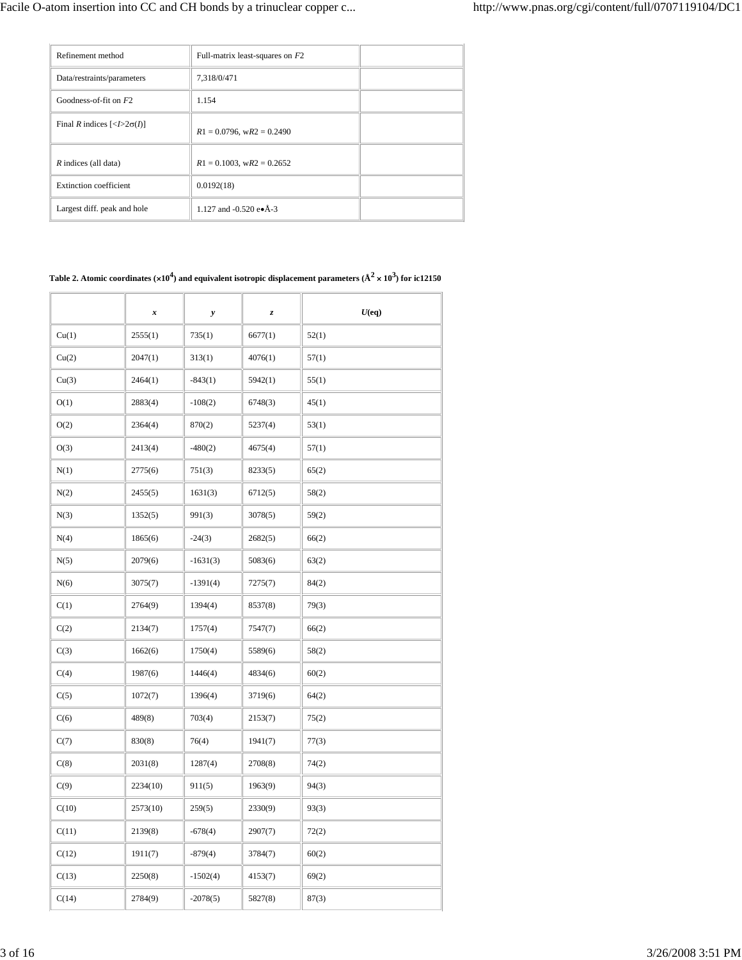| Refinement method                                             | Full-matrix least-squares on $F2$ |  |
|---------------------------------------------------------------|-----------------------------------|--|
| Data/restraints/parameters                                    | 7,318/0/471                       |  |
| Goodness-of-fit on $F2$                                       | 1.154                             |  |
| Final R indices $\left[ \langle I \rangle 2\sigma(I) \right]$ | $R1 = 0.0796$ , w $R2 = 0.2490$   |  |
| R indices (all data)                                          | $R1 = 0.1003$ , w $R2 = 0.2652$   |  |
| Extinction coefficient                                        | 0.0192(18)                        |  |
| Largest diff. peak and hole                                   | 1.127 and -0.520 e $\bullet$ Å-3  |  |

## Table 2. Atomic coordinates ( $\times 10^4$ ) and equivalent isotropic displacement parameters ( $\rm \AA^2 \times 10^3$ ) for ic12150

|       | x        | $\boldsymbol{y}$ | z,      | $U$ (eq) |
|-------|----------|------------------|---------|----------|
| Cu(1) | 2555(1)  | 735(1)           | 6677(1) | 52(1)    |
| Cu(2) | 2047(1)  | 313(1)           | 4076(1) | 57(1)    |
| Cu(3) | 2464(1)  | $-843(1)$        | 5942(1) | 55(1)    |
| O(1)  | 2883(4)  | $-108(2)$        | 6748(3) | 45(1)    |
| O(2)  | 2364(4)  | 870(2)           | 5237(4) | 53(1)    |
| O(3)  | 2413(4)  | $-480(2)$        | 4675(4) | 57(1)    |
| N(1)  | 2775(6)  | 751(3)           | 8233(5) | 65(2)    |
| N(2)  | 2455(5)  | 1631(3)          | 6712(5) | 58(2)    |
| N(3)  | 1352(5)  | 991(3)           | 3078(5) | 59(2)    |
| N(4)  | 1865(6)  | $-24(3)$         | 2682(5) | 66(2)    |
| N(5)  | 2079(6)  | $-1631(3)$       | 5083(6) | 63(2)    |
| N(6)  | 3075(7)  | $-1391(4)$       | 7275(7) | 84(2)    |
| C(1)  | 2764(9)  | 1394(4)          | 8537(8) | 79(3)    |
| C(2)  | 2134(7)  | 1757(4)          | 7547(7) | 66(2)    |
| C(3)  | 1662(6)  | 1750(4)          | 5589(6) | 58(2)    |
| C(4)  | 1987(6)  | 1446(4)          | 4834(6) | 60(2)    |
| C(5)  | 1072(7)  | 1396(4)          | 3719(6) | 64(2)    |
| C(6)  | 489(8)   | 703(4)           | 2153(7) | 75(2)    |
| C(7)  | 830(8)   | 76(4)            | 1941(7) | 77(3)    |
| C(8)  | 2031(8)  | 1287(4)          | 2708(8) | 74(2)    |
| C(9)  | 2234(10) | 911(5)           | 1963(9) | 94(3)    |
| C(10) | 2573(10) | 259(5)           | 2330(9) | 93(3)    |
| C(11) | 2139(8)  | $-678(4)$        | 2907(7) | 72(2)    |
| C(12) | 1911(7)  | $-879(4)$        | 3784(7) | 60(2)    |
| C(13) | 2250(8)  | $-1502(4)$       | 4153(7) | 69(2)    |
| C(14) | 2784(9)  | $-2078(5)$       | 5827(8) | 87(3)    |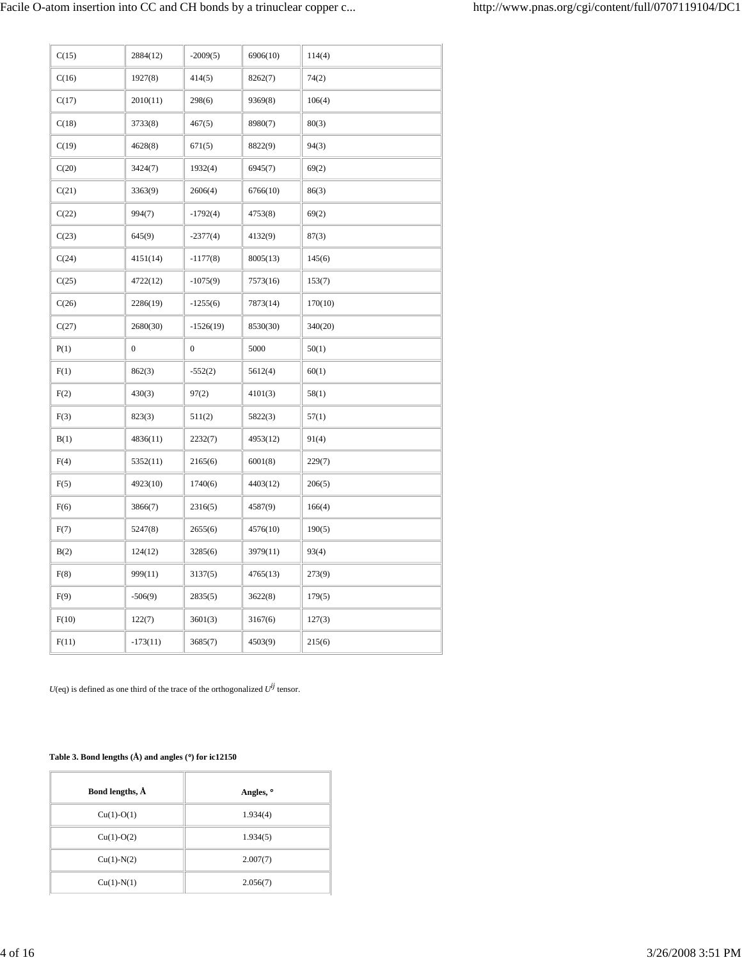| C(15) | 2884(12)         | $-2009(5)$       | 6906(10) | 114(4)  |
|-------|------------------|------------------|----------|---------|
| C(16) | 1927(8)          | 414(5)           | 8262(7)  | 74(2)   |
| C(17) | 2010(11)         | 298(6)           | 9369(8)  | 106(4)  |
| C(18) | 3733(8)          | 467(5)           | 8980(7)  | 80(3)   |
| C(19) | 4628(8)          | 671(5)           | 8822(9)  | 94(3)   |
| C(20) | 3424(7)          | 1932(4)          | 6945(7)  | 69(2)   |
| C(21) | 3363(9)          | 2606(4)          | 6766(10) | 86(3)   |
| C(22) | 994(7)           | $-1792(4)$       | 4753(8)  | 69(2)   |
| C(23) | 645(9)           | $-2377(4)$       | 4132(9)  | 87(3)   |
| C(24) | 4151(14)         | $-1177(8)$       | 8005(13) | 145(6)  |
| C(25) | 4722(12)         | $-1075(9)$       | 7573(16) | 153(7)  |
| C(26) | 2286(19)         | $-1255(6)$       | 7873(14) | 170(10) |
| C(27) | 2680(30)         | $-1526(19)$      | 8530(30) | 340(20) |
| P(1)  | $\boldsymbol{0}$ | $\boldsymbol{0}$ | 5000     | 50(1)   |
| F(1)  | 862(3)           | $-552(2)$        | 5612(4)  | 60(1)   |
| F(2)  | 430(3)           | 97(2)            | 4101(3)  | 58(1)   |
| F(3)  | 823(3)           | 511(2)           | 5822(3)  | 57(1)   |
| B(1)  | 4836(11)         | 2232(7)          | 4953(12) | 91(4)   |
| F(4)  | 5352(11)         | 2165(6)          | 6001(8)  | 229(7)  |
| F(5)  | 4923(10)         | 1740(6)          | 4403(12) | 206(5)  |
| F(6)  | 3866(7)          | 2316(5)          | 4587(9)  | 166(4)  |
| F(7)  | 5247(8)          | 2655(6)          | 4576(10) | 190(5)  |
| B(2)  | 124(12)          | 3285(6)          | 3979(11) | 93(4)   |
| F(8)  | 999(11)          | 3137(5)          | 4765(13) | 273(9)  |
| F(9)  | $-506(9)$        | 2835(5)          | 3622(8)  | 179(5)  |
| F(10) | 122(7)           | 3601(3)          | 3167(6)  | 127(3)  |
| F(11) | $-173(11)$       | 3685(7)          | 4503(9)  | 215(6)  |

 $U(\operatorname{\sf eq})$  is defined as one third of the trace of the orthogonalized  $U^{ij}$  tensor.

# **Table 3. Bond lengths (Å) and angles (**°**) for ic12150**

| Bond lengths, $\AA$ | Angles, ° |
|---------------------|-----------|
| $Cu(1)-O(1)$        | 1.934(4)  |
| $Cu(1)-O(2)$        | 1.934(5)  |
| $Cu(1)-N(2)$        | 2.007(7)  |
| $Cu(1)-N(1)$        | 2.056(7)  |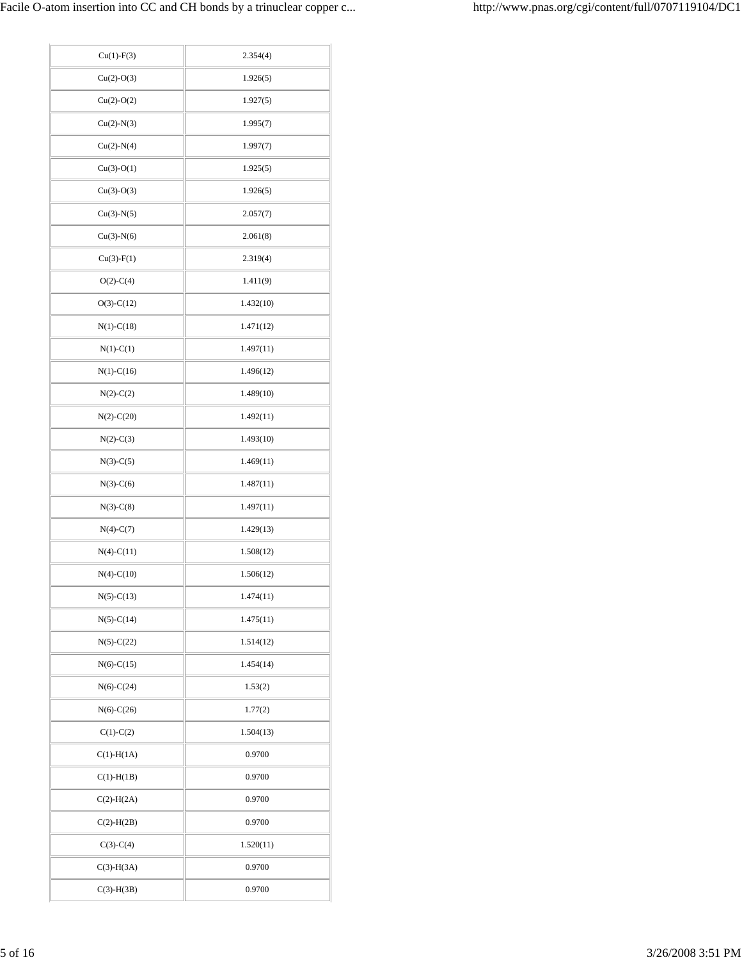| $Cu(1)-F(3)$     | 2.354(4)  |
|------------------|-----------|
| $Cu(2)-O(3)$     | 1.926(5)  |
| $Cu(2)-O(2)$     | 1.927(5)  |
| $Cu(2)-N(3)$     | 1.995(7)  |
| $Cu(2)-N(4)$     | 1.997(7)  |
| $Cu(3)-O(1)$     | 1.925(5)  |
| $Cu(3)-O(3)$     | 1.926(5)  |
| $Cu(3)-N(5)$     | 2.057(7)  |
| $Cu(3)-N(6)$     | 2.061(8)  |
| $Cu(3) - F(1)$   | 2.319(4)  |
| $O(2)$ -C(4)     | 1.411(9)  |
| $O(3)-C(12)$     | 1.432(10) |
| $N(1)-C(18)$     | 1.471(12) |
| $N(1)-C(1)$      | 1.497(11) |
| $N(1)-C(16)$     | 1.496(12) |
| $N(2)-C(2)$      | 1.489(10) |
| $N(2)$ -C $(20)$ | 1.492(11) |
| $N(2)-C(3)$      | 1.493(10) |
| $N(3)-C(5)$      | 1.469(11) |
| $N(3)-C(6)$      | 1.487(11) |
| $N(3)-C(8)$      | 1.497(11) |
| $N(4)-C(7)$      | 1.429(13) |
| $N(4)-C(11)$     | 1.508(12) |
| $N(4)-C(10)$     | 1.506(12) |
| $N(5)-C(13)$     | 1.474(11) |
| $N(5)-C(14)$     | 1.475(11) |
| $N(5)-C(22)$     | 1.514(12) |
| $N(6)-C(15)$     | 1.454(14) |
| $N(6)-C(24)$     | 1.53(2)   |
| $N(6)-C(26)$     | 1.77(2)   |
| $C(1)-C(2)$      | 1.504(13) |
| $C(1)-H(1A)$     | 0.9700    |
| $C(1)$ -H $(1B)$ | 0.9700    |
| $C(2)-H(2A)$     | 0.9700    |
| $C(2)-H(2B)$     | 0.9700    |
| $C(3)-C(4)$      | 1.520(11) |
| $C(3)-H(3A)$     | 0.9700    |
| $C(3)-H(3B)$     | 0.9700    |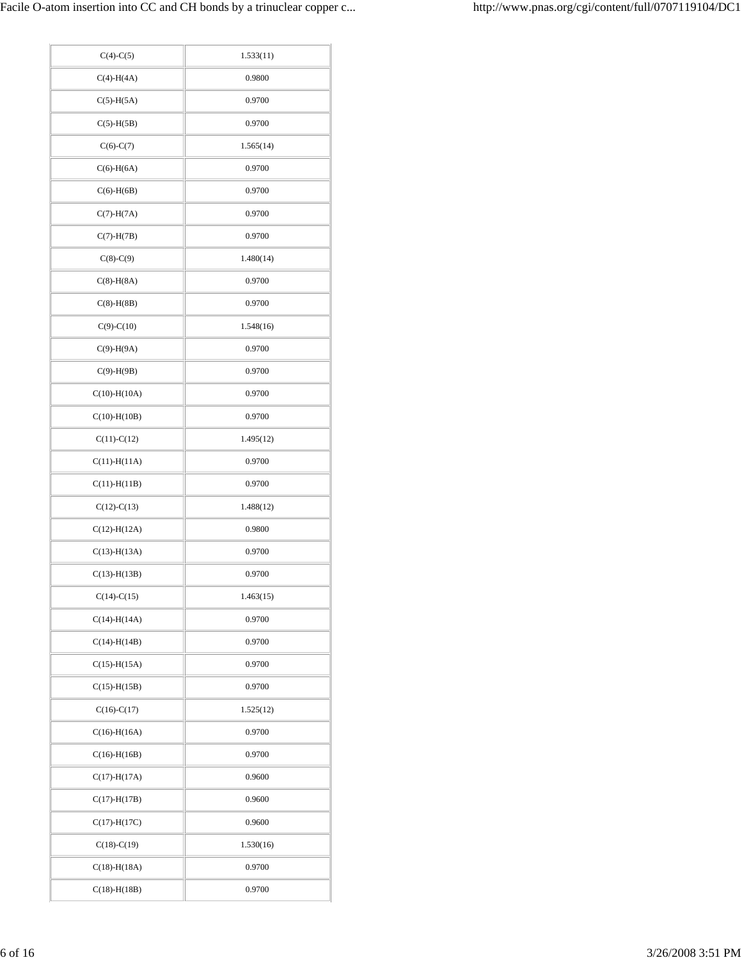| $C(4)-C(5)$        | 1.533(11) |
|--------------------|-----------|
| $C(4)-H(4A)$       | 0.9800    |
| $C(5)-H(5A)$       | 0.9700    |
| $C(5)-H(5B)$       | 0.9700    |
| $C(6)-C(7)$        | 1.565(14) |
| $C(6)-H(6A)$       | 0.9700    |
| $C(6)-H(6B)$       | 0.9700    |
| $C(7)-H(7A)$       | 0.9700    |
| $C(7)-H(7B)$       | 0.9700    |
| $C(8)-C(9)$        | 1.480(14) |
| $C(8)-H(8A)$       | 0.9700    |
| $C(8)-H(8B)$       | 0.9700    |
| $C(9)-C(10)$       | 1.548(16) |
| $C(9)-H(9A)$       | 0.9700    |
| $C(9)-H(9B)$       | 0.9700    |
| $C(10) - H(10A)$   | 0.9700    |
| $C(10) - H(10B)$   | 0.9700    |
| $C(11)-C(12)$      | 1.495(12) |
| $C(11) - H(11A)$   | 0.9700    |
| $C(11) - H(11B)$   | 0.9700    |
| $C(12)-C(13)$      | 1.488(12) |
| $C(12) - H(12A)$   | 0.9800    |
| $C(13) - H(13A)$   | 0.9700    |
| $C(13) - H(13B)$   | 0.9700    |
| $C(14)-C(15)$      | 1.463(15) |
| $C(14) - H(14A)$   | 0.9700    |
| $C(14) - H(14B)$   | 0.9700    |
| $C(15) - H(15A)$   | 0.9700    |
| $C(15)$ -H $(15B)$ | 0.9700    |
| $C(16)-C(17)$      | 1.525(12) |
| $C(16) - H(16A)$   | 0.9700    |
| $C(16) - H(16B)$   | 0.9700    |
| $C(17) - H(17A)$   | 0.9600    |
| $C(17) - H(17B)$   | 0.9600    |
| $C(17) - H(17C)$   | 0.9600    |
| $C(18)-C(19)$      | 1.530(16) |
| $C(18) - H(18A)$   | 0.9700    |
| $C(18) - H(18B)$   | 0.9700    |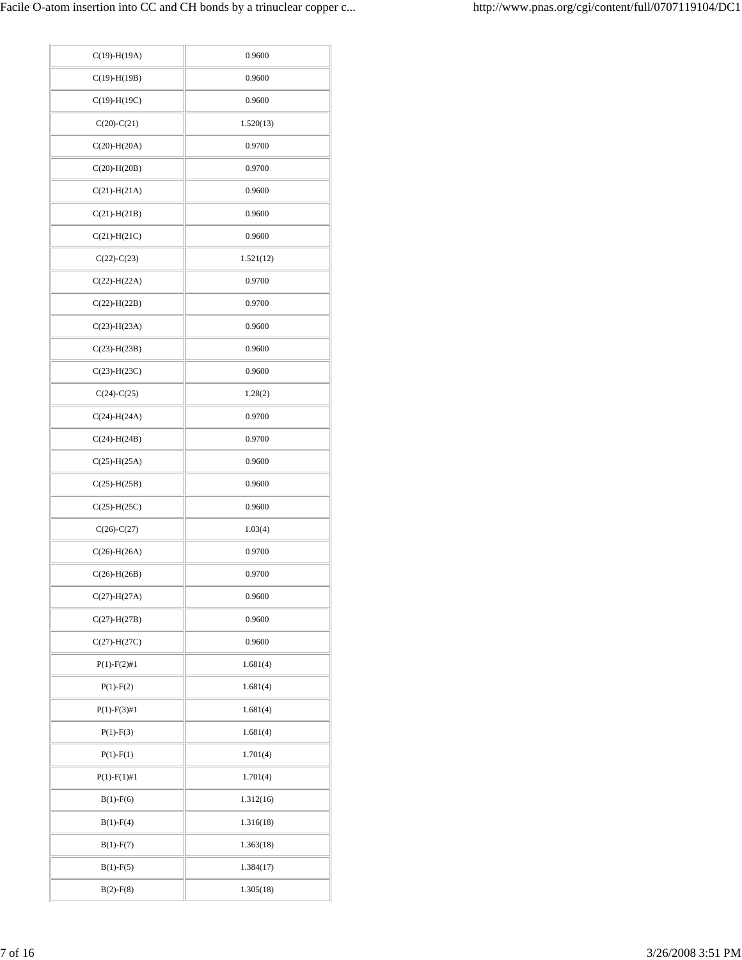| $C(19) - H(19A)$   | 0.9600    |
|--------------------|-----------|
| $C(19) - H(19B)$   | 0.9600    |
| $C(19) - H(19C)$   | 0.9600    |
| $C(20)-C(21)$      | 1.520(13) |
| $C(20)$ -H $(20A)$ | 0.9700    |
| $C(20) - H(20B)$   | 0.9700    |
| $C(21) - H(21A)$   | 0.9600    |
| $C(21)$ -H $(21B)$ | 0.9600    |
| $C(21)$ -H $(21C)$ | 0.9600    |
| $C(22) - C(23)$    | 1.521(12) |
| $C(22)$ -H $(22A)$ | 0.9700    |
| $C(22) - H(22B)$   | 0.9700    |
| $C(23) - H(23A)$   | 0.9600    |
| $C(23) - H(23B)$   | 0.9600    |
| $C(23)-H(23C)$     | 0.9600    |
| $C(24)-C(25)$      | 1.28(2)   |
| $C(24) - H(24A)$   | 0.9700    |
| $C(24)$ -H $(24B)$ | 0.9700    |
| $C(25)$ -H $(25A)$ | 0.9600    |
| $C(25)$ -H $(25B)$ | 0.9600    |
| $C(25)$ -H $(25C)$ | 0.9600    |
| $C(26) - C(27)$    | 1.03(4)   |
| $C(26) - H(26A)$   | 0.9700    |
| $C(26) - H(26B)$   | 0.9700    |
| $C(27) - H(27A)$   | 0.9600    |
| $C(27)$ -H $(27B)$ | 0.9600    |
| $C(27) - H(27C)$   | 0.9600    |
| $P(1) - F(2) \# 1$ | 1.681(4)  |
| $P(1) - F(2)$      | 1.681(4)  |
| $P(1) - F(3) \# 1$ | 1.681(4)  |
| $P(1) - F(3)$      | 1.681(4)  |
| $P(1) - F(1)$      | 1.701(4)  |
| $P(1) - F(1) \# 1$ | 1.701(4)  |
| $B(1)$ -F(6)       | 1.312(16) |
| $B(1) - F(4)$      | 1.316(18) |
| $B(1)$ -F(7)       | 1.363(18) |
| $B(1) - F(5)$      | 1.384(17) |
| $B(2) - F(8)$      | 1.305(18) |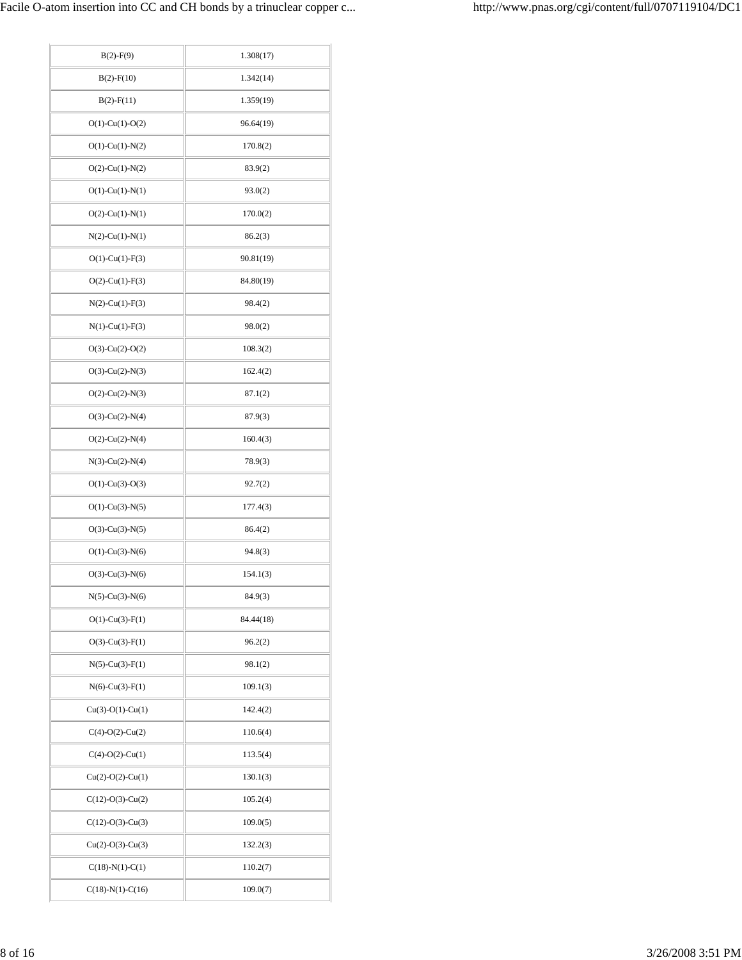| $B(2)$ -F(9)          | 1.308(17) |
|-----------------------|-----------|
| $B(2)$ -F(10)         | 1.342(14) |
| $B(2) - F(11)$        | 1.359(19) |
| $O(1)$ -Cu(1)-O(2)    | 96.64(19) |
| $O(1)$ -Cu(1)-N(2)    | 170.8(2)  |
| $O(2)$ -Cu(1)-N(2)    | 83.9(2)   |
| $O(1)$ -Cu(1)-N(1)    | 93.0(2)   |
| $O(2)$ -Cu(1)-N(1)    | 170.0(2)  |
| $N(2)$ -Cu(1)- $N(1)$ | 86.2(3)   |
| $O(1)$ -Cu(1)-F(3)    | 90.81(19) |
| $O(2)$ -Cu(1)-F(3)    | 84.80(19) |
| $N(2)$ -Cu(1)-F(3)    | 98.4(2)   |
| $N(1)-Cu(1)-F(3)$     | 98.0(2)   |
| $O(3)$ -Cu(2)-O(2)    | 108.3(2)  |
| $O(3)$ -Cu(2)-N(3)    | 162.4(2)  |
| $O(2)$ -Cu(2)-N(3)    | 87.1(2)   |
| $O(3)$ -Cu(2)-N(4)    | 87.9(3)   |
| $O(2)$ -Cu(2)-N(4)    | 160.4(3)  |
| $N(3)-Cu(2)-N(4)$     | 78.9(3)   |
| $O(1)$ -Cu(3)-O(3)    | 92.7(2)   |
| $O(1)$ -Cu(3)-N(5)    | 177.4(3)  |
| $O(3)$ -Cu(3)-N(5)    | 86.4(2)   |
| $O(1)$ -Cu(3)-N(6)    | 94.8(3)   |
| $O(3)$ -Cu(3)-N(6)    | 154.1(3)  |
| $N(5)$ -Cu(3)- $N(6)$ | 84.9(3)   |
| $O(1)$ -Cu(3)-F(1)    | 84.44(18) |
| $O(3)$ -Cu(3)-F(1)    | 96.2(2)   |
| $N(5)$ -Cu(3)-F(1)    | 98.1(2)   |
| $N(6)-Cu(3)-F(1)$     | 109.1(3)  |
| $Cu(3)-O(1)-Cu(1)$    | 142.4(2)  |
| $C(4)-O(2)-Cu(2)$     | 110.6(4)  |
| $C(4)-O(2)-Cu(1)$     | 113.5(4)  |
| $Cu(2)-O(2)-Cu(1)$    | 130.1(3)  |
| $C(12)-O(3)-Cu(2)$    | 105.2(4)  |
| $C(12)-O(3)-Cu(3)$    | 109.0(5)  |
| $Cu(2)-O(3)-Cu(3)$    | 132.2(3)  |
| $C(18)-N(1)-C(1)$     | 110.2(7)  |
| $C(18)-N(1)-C(16)$    | 109.0(7)  |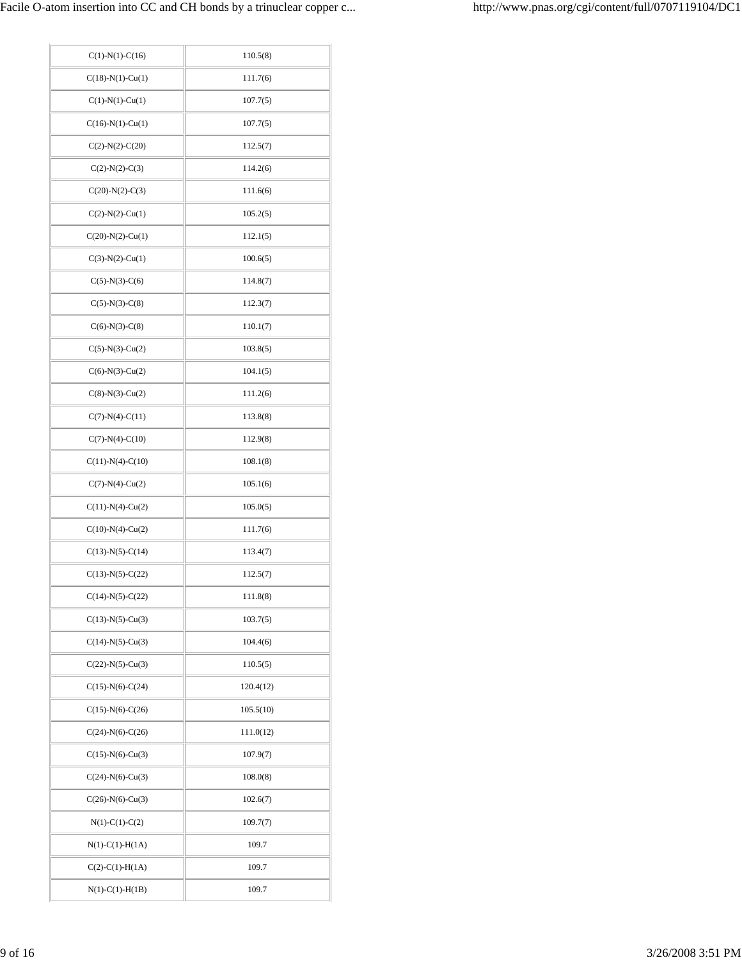| $C(1)-N(1)-C(16)$      | 110.5(8)  |
|------------------------|-----------|
| $C(18)-N(1)-Cu(1)$     | 111.7(6)  |
| $C(1)-N(1)-Cu(1)$      | 107.7(5)  |
| $C(16)-N(1)-Cu(1)$     | 107.7(5)  |
| $C(2)-N(2)-C(20)$      | 112.5(7)  |
| $C(2)-N(2)-C(3)$       | 114.2(6)  |
| $C(20)$ -N(2)-C(3)     | 111.6(6)  |
| $C(2)-N(2)-Cu(1)$      | 105.2(5)  |
| $C(20)$ -N(2)-Cu(1)    | 112.1(5)  |
| $C(3)-N(2)-Cu(1)$      | 100.6(5)  |
| $C(5)-N(3)-C(6)$       | 114.8(7)  |
| $C(5)-N(3)-C(8)$       | 112.3(7)  |
| $C(6)-N(3)-C(8)$       | 110.1(7)  |
| $C(5)-N(3)-Cu(2)$      | 103.8(5)  |
| $C(6)-N(3)-Cu(2)$      | 104.1(5)  |
| $C(8)-N(3)-Cu(2)$      | 111.2(6)  |
| $C(7)-N(4)-C(11)$      | 113.8(8)  |
| $C(7)-N(4)-C(10)$      | 112.9(8)  |
| $C(11)$ -N(4)-C(10)    | 108.1(8)  |
| $C(7)-N(4)-Cu(2)$      | 105.1(6)  |
| $C(11) - N(4) - Cu(2)$ | 105.0(5)  |
| $C(10)-N(4)-Cu(2)$     | 111.7(6)  |
| $C(13)-N(5)-C(14)$     | 113.4(7)  |
| $C(13)-N(5)-C(22)$     | 112.5(7)  |
| $C(14)-N(5)-C(22)$     | 111.8(8)  |
| $C(13)-N(5)-Cu(3)$     | 103.7(5)  |
| $C(14)$ -N(5)-Cu(3)    | 104.4(6)  |
| $C(22)$ -N(5)-Cu(3)    | 110.5(5)  |
| $C(15)-N(6)-C(24)$     | 120.4(12) |
| $C(15)-N(6)-C(26)$     | 105.5(10) |
| $C(24)-N(6)-C(26)$     | 111.0(12) |
| $C(15)-N(6)-Cu(3)$     | 107.9(7)  |
| $C(24)-N(6)-Cu(3)$     | 108.0(8)  |
| $C(26)$ -N(6)-Cu(3)    | 102.6(7)  |
| $N(1)-C(1)-C(2)$       | 109.7(7)  |
| $N(1)-C(1)-H(1A)$      | 109.7     |
| $C(2)-C(1)-H(1A)$      | 109.7     |
| $N(1)-C(1)-H(1B)$      | 109.7     |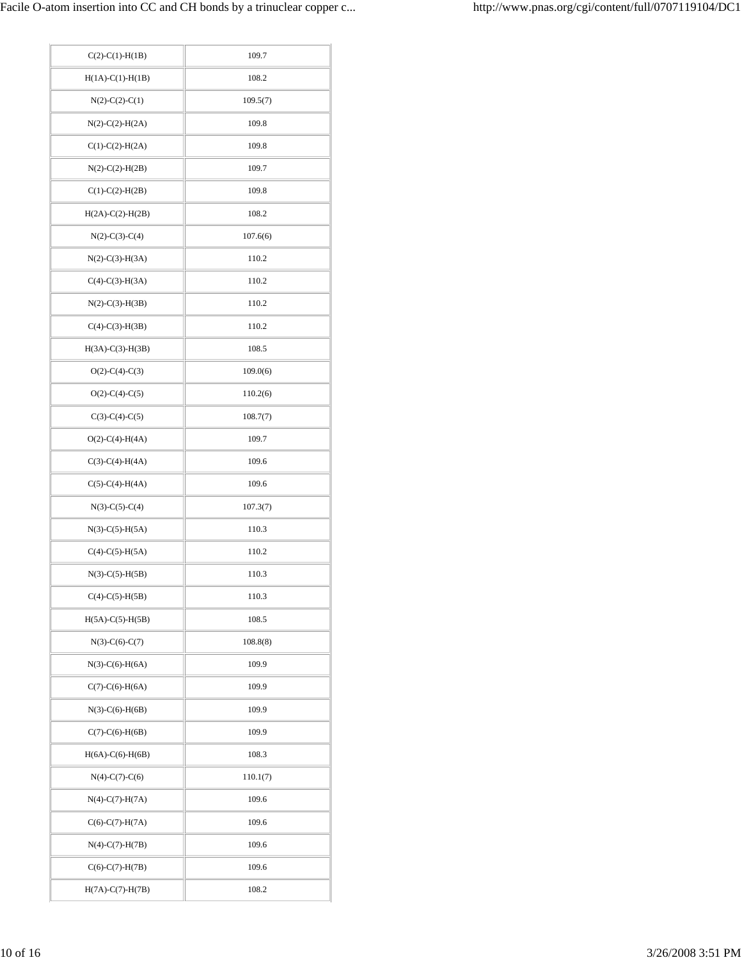| $C(2)-C(1)-H(1B)$  | 109.7    |
|--------------------|----------|
| $H(1A)-C(1)-H(1B)$ | 108.2    |
| $N(2)-C(2)-C(1)$   | 109.5(7) |
| $N(2)-C(2)-H(2A)$  | 109.8    |
| $C(1)-C(2)-H(2A)$  | 109.8    |
| $N(2)-C(2)-H(2B)$  | 109.7    |
| $C(1)-C(2)-H(2B)$  | 109.8    |
| $H(2A)-C(2)-H(2B)$ | 108.2    |
| $N(2)$ -C(3)-C(4)  | 107.6(6) |
| $N(2)-C(3)-H(3A)$  | 110.2    |
| $C(4)-C(3)-H(3A)$  | 110.2    |
| $N(2)-C(3)-H(3B)$  | 110.2    |
| $C(4)-C(3)-H(3B)$  | 110.2    |
| $H(3A)-C(3)-H(3B)$ | 108.5    |
| $O(2)$ -C(4)-C(3)  | 109.0(6) |
| $O(2)$ -C(4)-C(5)  | 110.2(6) |
| $C(3)-C(4)-C(5)$   | 108.7(7) |
| $O(2)$ -C(4)-H(4A) | 109.7    |
| $C(3)-C(4)-H(4A)$  | 109.6    |
|                    |          |
| $C(5)-C(4)-H(4A)$  | 109.6    |
| $N(3)-C(5)-C(4)$   | 107.3(7) |
| $N(3)-C(5)-H(5A)$  | 110.3    |
| $C(4)-C(5)-H(5A)$  | 110.2    |
| $N(3)-C(5)-H(5B)$  | 110.3    |
| $C(4)-C(5)-H(5B)$  | 110.3    |
| $H(5A)-C(5)-H(5B)$ | 108.5    |
| $N(3)-C(6)-C(7)$   | 108.8(8) |
| $N(3)-C(6)-H(6A)$  | 109.9    |
| $C(7)-C(6)-H(6A)$  | 109.9    |
| $N(3)-C(6)-H(6B)$  | 109.9    |
| $C(7)-C(6)-H(6B)$  | 109.9    |
| $H(6A)-C(6)-H(6B)$ | 108.3    |
| $N(4)-C(7)-C(6)$   | 110.1(7) |
| $N(4)-C(7)-H(7A)$  | 109.6    |
| $C(6)-C(7)-H(7A)$  | 109.6    |
| $N(4)-C(7)-H(7B)$  | 109.6    |
| $C(6)-C(7)-H(7B)$  | 109.6    |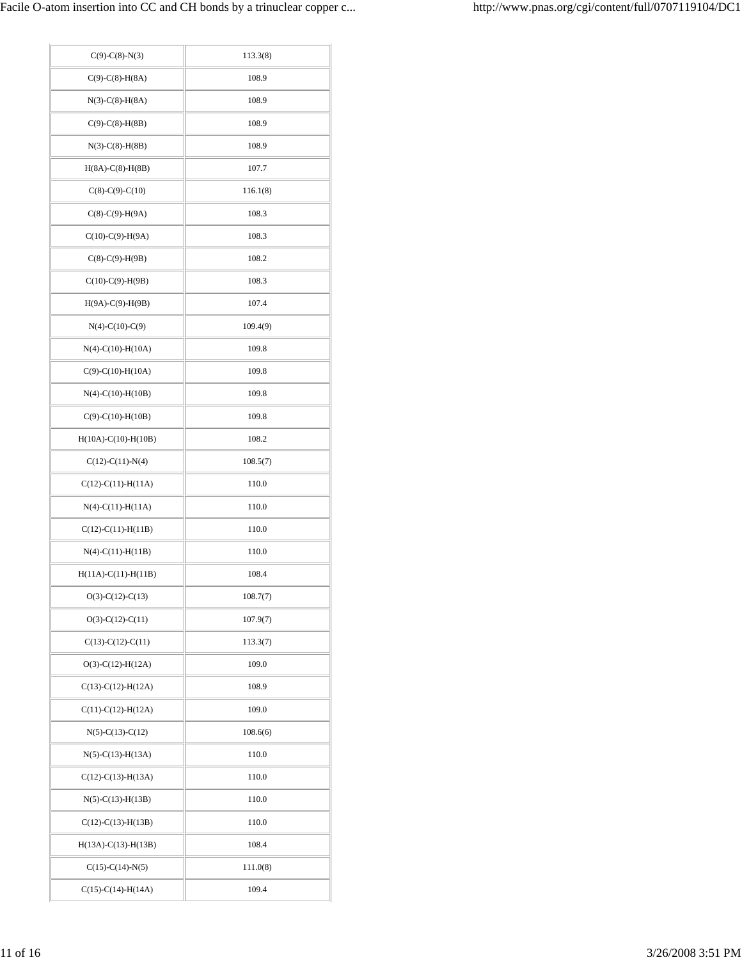| $C(9)$ -C(8)-N(3)     | 113.3(8) |
|-----------------------|----------|
| $C(9)-C(8)-H(8A)$     | 108.9    |
| $N(3)-C(8)-H(8A)$     | 108.9    |
| $C(9)-C(8)-H(8B)$     | 108.9    |
| $N(3)-C(8)-H(8B)$     | 108.9    |
| $H(8A)-C(8)-H(8B)$    | 107.7    |
| $C(8)-C(9)-C(10)$     | 116.1(8) |
| $C(8)-C(9)-H(9A)$     | 108.3    |
| $C(10)-C(9)-H(9A)$    | 108.3    |
| $C(8)-C(9)-H(9B)$     | 108.2    |
| $C(10)-C(9)-H(9B)$    | 108.3    |
| $H(9A)-C(9)-H(9B)$    | 107.4    |
| $N(4)-C(10)-C(9)$     | 109.4(9) |
| $N(4)$ -C(10)-H(10A)  | 109.8    |
| $C(9)-C(10)-H(10A)$   | 109.8    |
| $N(4)-C(10)-H(10B)$   | 109.8    |
| $C(9)-C(10)-H(10B)$   | 109.8    |
| $H(10A)-C(10)-H(10B)$ | 108.2    |
| $C(12)-C(11)-N(4)$    | 108.5(7) |
| $C(12)-C(11)-H(11A)$  | 110.0    |
| $N(4)-C(11)-H(11A)$   | 110.0    |
| $C(12)-C(11)-H(11B)$  | 110.0    |
| $N(4)-C(11)-H(11B)$   | 110.0    |
| $H(11A)-C(11)-H(11B)$ | 108.4    |
| $O(3)-C(12)-C(13)$    | 108.7(7) |
| $O(3)-C(12)-C(11)$    | 107.9(7) |
| $C(13)-C(12)-C(11)$   | 113.3(7) |
| $O(3)-C(12)-H(12A)$   | 109.0    |
| $C(13)-C(12)-H(12A)$  | 108.9    |
| $C(11)-C(12)-H(12A)$  | 109.0    |
| $N(5)-C(13)-C(12)$    | 108.6(6) |
| $N(5)-C(13)-H(13A)$   | 110.0    |
| $C(12)-C(13)-H(13A)$  | 110.0    |
| $N(5)-C(13)-H(13B)$   | 110.0    |
| $C(12)-C(13)-H(13B)$  | 110.0    |
| $H(13A)-C(13)-H(13B)$ | 108.4    |
| $C(15)-C(14)-N(5)$    | 111.0(8) |
| $C(15)-C(14)-H(14A)$  | 109.4    |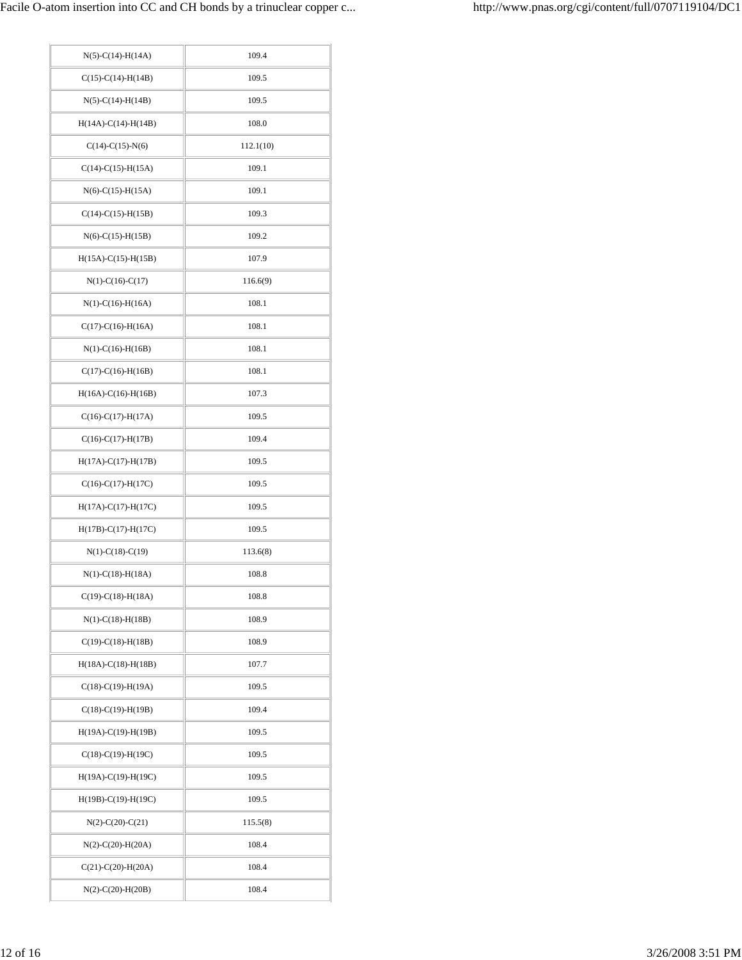| $N(5)-C(14)-H(14A)$          | 109.4     |
|------------------------------|-----------|
| $C(15)-C(14)-H(14B)$         | 109.5     |
| $N(5)$ -C(14)-H(14B)         | 109.5     |
| $H(14A)-C(14)-H(14B)$        | 108.0     |
| $C(14)-C(15)-N(6)$           | 112.1(10) |
| $C(14)-C(15)-H(15A)$         | 109.1     |
| $N(6)$ -C(15)-H(15A)         | 109.1     |
| $C(14)-C(15)-H(15B)$         | 109.3     |
| $N(6) - C(15) - H(15B)$      | 109.2     |
| $H(15A)-C(15)-H(15B)$        | 107.9     |
| $N(1)-C(16)-C(17)$           | 116.6(9)  |
| $N(1)$ -C(16)-H(16A)         | 108.1     |
| $C(17)-C(16)-H(16A)$         | 108.1     |
| $N(1)$ -C(16)-H(16B)         | 108.1     |
| $C(17)-C(16)-H(16B)$         | 108.1     |
| $H(16A)-C(16)-H(16B)$        | 107.3     |
| $C(16)-C(17)-H(17A)$         | 109.5     |
| $C(16)-C(17)-H(17B)$         | 109.4     |
| $H(17A)-C(17)-H(17B)$        | 109.5     |
| $C(16)-C(17)-H(17C)$         | 109.5     |
| $H(17A)-C(17)-H(17C)$        | 109.5     |
| $H(17B)-C(17)-H(17C)$        | 109.5     |
| $N(1)-C(18)-C(19)$           | 113.6(8)  |
| $N(1) - C(18) - H(18A)$      | 108.8     |
| $C(19)-C(18)-H(18A)$         | 108.8     |
| $N(1)$ -C $(18)$ -H $(18B)$  | 108.9     |
| $C(19)-C(18)-H(18B)$         | 108.9     |
| $H(18A)-C(18)-H(18B)$        | 107.7     |
| $C(18)-C(19)-H(19A)$         | 109.5     |
| $C(18)-C(19)-H(19B)$         | 109.4     |
| $H(19A)-C(19)-H(19B)$        | 109.5     |
| $C(18)-C(19)-H(19C)$         | 109.5     |
| $H(19A)-C(19)-H(19C)$        | 109.5     |
| $H(19B)-C(19)-H(19C)$        | 109.5     |
| $N(2)-C(20)-C(21)$           | 115.5(8)  |
| $N(2)$ -C(20)-H(20A)         | 108.4     |
| $C(21)$ -C $(20)$ -H $(20A)$ | 108.4     |
| $N(2)$ -C(20)-H(20B)         | 108.4     |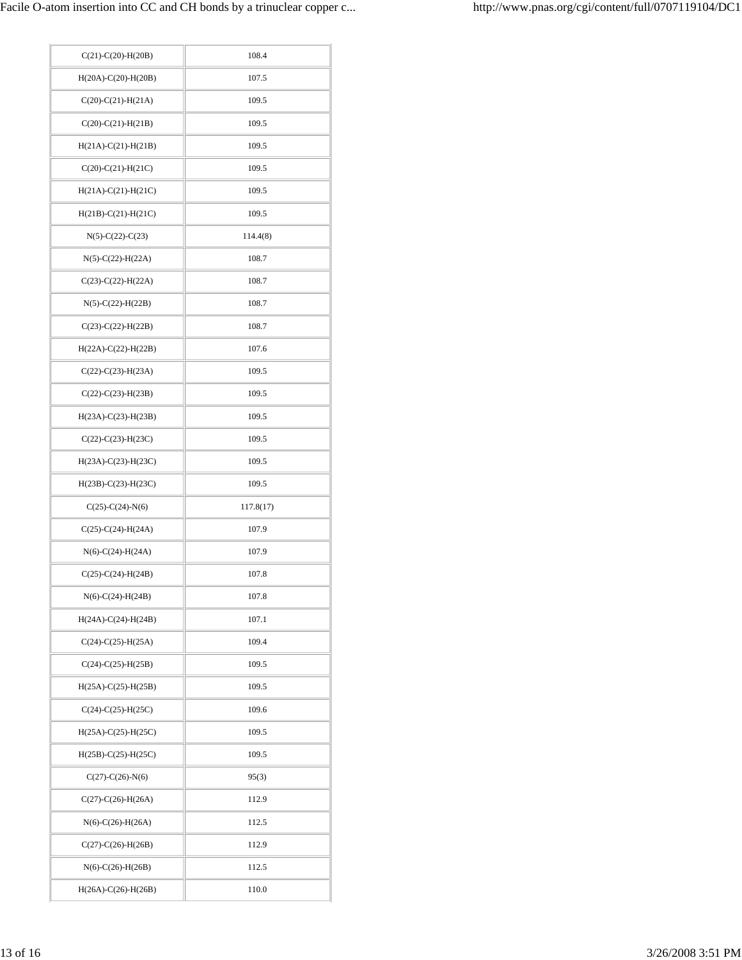| $C(21)$ - $C(20)$ - $H(20B)$ | 108.4     |
|------------------------------|-----------|
| $H(20A)-C(20)-H(20B)$        | 107.5     |
| $C(20)-C(21)-H(21A)$         | 109.5     |
| $C(20)-C(21)-H(21B)$         | 109.5     |
| $H(21A)-C(21)-H(21B)$        | 109.5     |
| $C(20)-C(21)-H(21C)$         | 109.5     |
| $H(21A)-C(21)-H(21C)$        | 109.5     |
| $H(21B)-C(21)-H(21C)$        | 109.5     |
| $N(5)-C(22)-C(23)$           | 114.4(8)  |
| $N(5)$ -C(22)-H(22A)         | 108.7     |
| $C(23)-C(22)-H(22A)$         | 108.7     |
| $N(5)$ -C(22)-H(22B)         | 108.7     |
| $C(23)-C(22)-H(22B)$         | 108.7     |
| $H(22A)-C(22)-H(22B)$        | 107.6     |
| $C(22)-C(23)-H(23A)$         | 109.5     |
| $C(22)-C(23)-H(23B)$         | 109.5     |
| $H(23A)-C(23)-H(23B)$        | 109.5     |
| $C(22)$ -C $(23)$ -H $(23C)$ | 109.5     |
| $H(23A)-C(23)-H(23C)$        | 109.5     |
| $H(23B)-C(23)-H(23C)$        | 109.5     |
| $C(25)-C(24)-N(6)$           | 117.8(17) |
| $C(25)-C(24)-H(24A)$         | 107.9     |
| $N(6) - C(24) - H(24A)$      | 107.9     |
| $C(25)-C(24)-H(24B)$         | 107.8     |
| $N(6)$ -C(24)-H(24B)         | 107.8     |
| $H(24A)-C(24)-H(24B)$        | 107.1     |
| $C(24)-C(25)-H(25A)$         | 109.4     |
| $C(24)-C(25)-H(25B)$         | 109.5     |
| $H(25A)-C(25)-H(25B)$        | 109.5     |
|                              |           |
| $C(24)-C(25)-H(25C)$         | 109.6     |
| $H(25A)-C(25)-H(25C)$        | 109.5     |
| $H(25B)-C(25)-H(25C)$        | 109.5     |
| $C(27)$ - $C(26)$ - $N(6)$   | 95(3)     |
| $C(27)$ - $C(26)$ - $H(26A)$ | 112.9     |
| $N(6)$ -C(26)-H(26A)         | 112.5     |
| $C(27)$ - $C(26)$ - $H(26B)$ | 112.9     |
| $N(6)$ -C(26)-H(26B)         | 112.5     |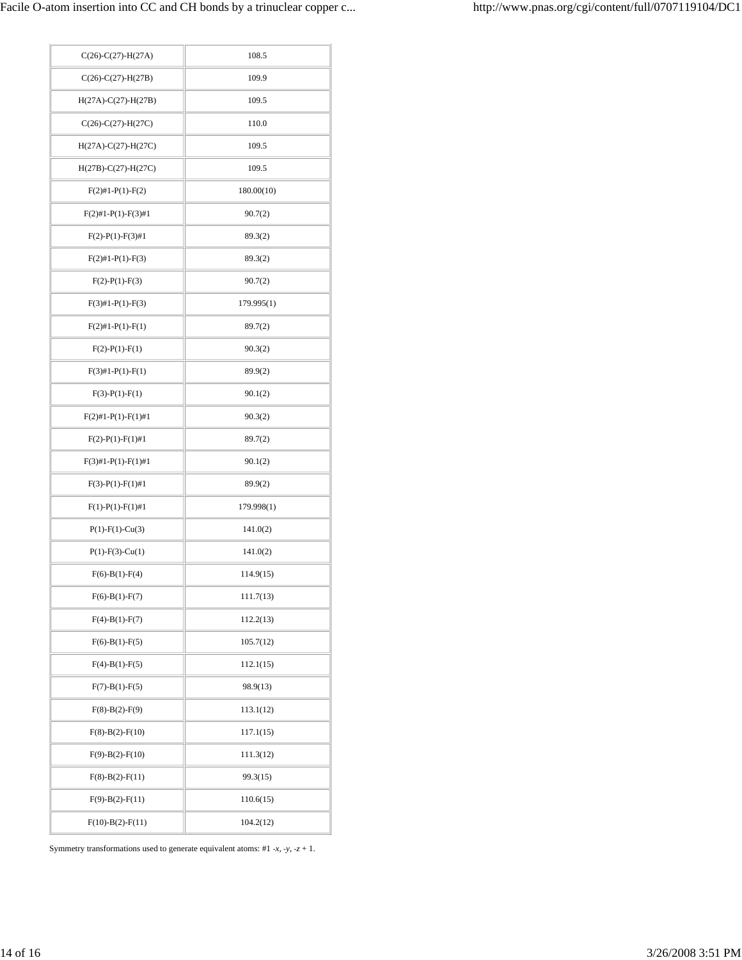| $C(26)-C(27)-H(27A)$      | 108.5      |
|---------------------------|------------|
| $C(26)-C(27)-H(27B)$      | 109.9      |
| $H(27A)-C(27)-H(27B)$     | 109.5      |
| $C(26)-C(27)-H(27C)$      | 110.0      |
| $H(27A)-C(27)-H(27C)$     | 109.5      |
| $H(27B) - C(27) - H(27C)$ | 109.5      |
| $F(2)$ #1-P(1)-F(2)       | 180.00(10) |
| $F(2)\#1-P(1)-F(3)\#1$    | 90.7(2)    |
| $F(2)-P(1)-F(3)\#1$       | 89.3(2)    |
| $F(2)$ #1-P(1)-F(3)       | 89.3(2)    |
| $F(2) - P(1) - F(3)$      | 90.7(2)    |
| $F(3)$ #1-P(1)-F(3)       | 179.995(1) |
| $F(2)$ #1-P(1)-F(1)       | 89.7(2)    |
| $F(2)-P(1)-F(1)$          | 90.3(2)    |
| $F(3)$ #1-P(1)-F(1)       | 89.9(2)    |
| $F(3)-P(1)-F(1)$          | 90.1(2)    |
| $F(2)\#1-P(1)-F(1)\#1$    | 90.3(2)    |
| $F(2)-P(1)-F(1)\#1$       | 89.7(2)    |
| $F(3)\#1-P(1)-F(1)\#1$    | 90.1(2)    |
| $F(3)-P(1)-F(1)\#1$       | 89.9(2)    |
| $F(1)-P(1)-F(1)\#1$       | 179.998(1) |
| $P(1)$ - $F(1)$ - $Cu(3)$ | 141.0(2)   |
| $P(1)$ - $F(3)$ -Cu(1)    | 141.0(2)   |
| $F(6)-B(1)-F(4)$          | 114.9(15)  |
| $F(6)-B(1)-F(7)$          | 111.7(13)  |
| $F(4)-B(1)-F(7)$          | 112.2(13)  |
| $F(6)-B(1)-F(5)$          | 105.7(12)  |
| $F(4)-B(1)-F(5)$          | 112.1(15)  |
| $F(7)-B(1)-F(5)$          | 98.9(13)   |
| $F(8)-B(2)-F(9)$          | 113.1(12)  |
| $F(8)-B(2)-F(10)$         | 117.1(15)  |
| $F(9)-B(2)-F(10)$         | 111.3(12)  |
| $F(8)-B(2)-F(11)$         | 99.3(15)   |
| $F(9)-B(2)-F(11)$         | 110.6(15)  |
| $F(10)-B(2)-F(11)$        | 104.2(12)  |

Symmetry transformations used to generate equivalent atoms: #1 -*x*, -*y*, -*z* + 1.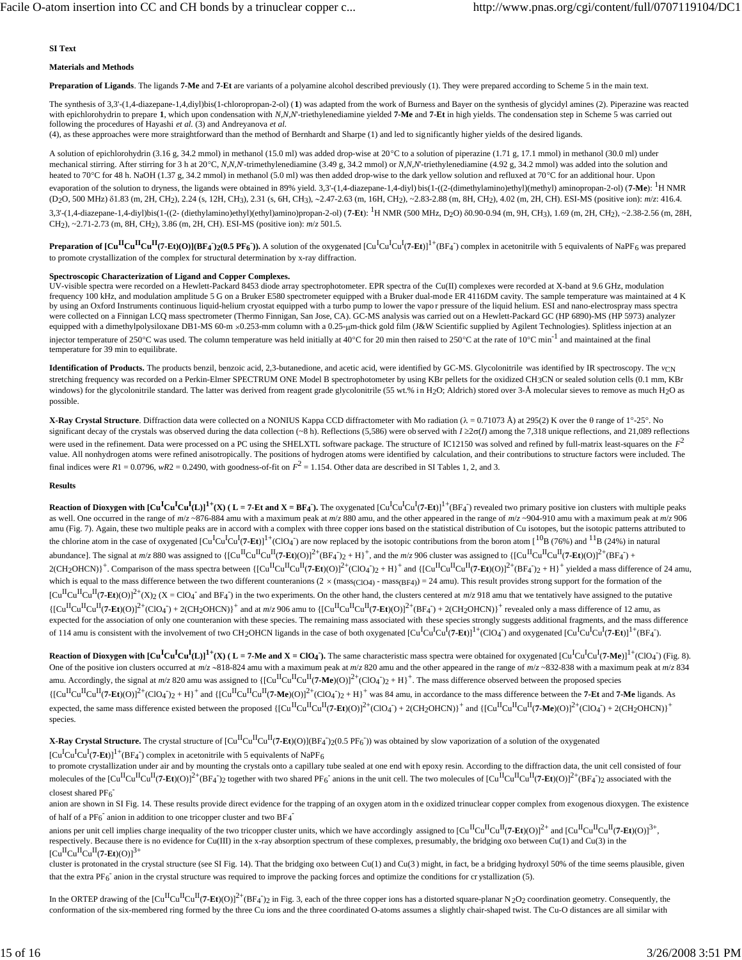### **SI Text**

### **Materials and Methods**

**Preparation of Ligands**. The ligands **7-Me** and **7-Et** are variants of a polyamine alcohol described previously (1). They were prepared according to Scheme 5 in the main text.

The synthesis of 3,3'-(1,4-diazepane-1,4,diyl)bis(1-chloropropan-2-ol) (**1**) was adapted from the work of Burness and Bayer on the synthesis of glycidyl amines (2). Piperazine was reacted with epichlorohydrin to prepare **1**, which upon condensation with *N,N,N*'-triethylenediamine yielded **7-Me** and **7-Et** in high yields. The condensation step in Scheme 5 was carried out following the procedures of Hayashi *et al.* (3) and Andreyanova *et al.*

(4), as these approaches were more straightforward than the method of Bernhardt and Sharpe (1) and led to sig nificantly higher yields of the desired ligands.

A solution of epichlorohydrin (3.16 g, 34.2 mmol) in methanol (15.0 ml) was added drop-wise at 20°C to a solution of piperazine (1.71 g, 17.1 mmol) in methanol (30.0 ml) under mechanical stirring. After stirring for 3 h at 20°C, *N,N,N*<sup>-</sup>trimethylenediamine (3.49 g, 34.2 mmol) or *N,N,N*<sup>-</sup>triethylenediamine (4.92 g, 34.2 mmol) was added into the solution and heated to 70°C for 48 h. NaOH (1.37 g, 34.2 mmol) in methanol (5.0 ml) was then added drop-wise to the dark yellow solution and refluxed at 70°C for an additional hour. Upon evaporation of the solution to dryness, the ligands were obtained in 89% yield. 3,3'-(1,4-diazepane-1,4-diyl) bis(1-((2-(dimethylamino)ethyl)(methyl) aminopropan-2-ol) (**7-Me**): <sup>1</sup>H NMR (D2O, 500 MHz) δ1.83 (m, 2H, CH2), 2.24 (s, 12H, CH3), 2.31 (s, 6H, CH3), ∼2.47-2.63 (m, 16H, CH2), ~2.83-2.88 (m, 8H, CH2), 4.02 (m, 2H, CH). ESI-MS (positive ion): *m*/*z*: 416.4. 3,3'-(1,4-diazepane-1,4-diyl)bis(1-((2- (diethylamino)ethyl)(ethyl)amino)propan-2-ol) (**7-Et**): <sup>1</sup>H NMR (500 MHz, D<sub>2</sub>O) 80.90-0.94 (m, 9H, CH3), 1.69 (m, 2H, CH2), ~2.38-2.56 (m, 28H, CH2), ~2.71-2.73 (m, 8H, CH2), 3.86 (m, 2H, CH). ESI-MS (positive ion): *m*/*z* 501.5.

Preparation of  $\left[\text{Cu}^{\text{II}}\text{Cu}^{\text{II}}\text{Cu}^{\text{II}}\text{Cu}^{\text{I}}\text{He}(\text{H})\text{Cu}^{\text{II}}\text{Cu}^{\text{II}}\text{Cu}^{\text{II}}\text{Cu}^{\text{II}}\text{Cu}^{\text{II}}\text{Cu}^{\text{II}}\text{Cu}^{\text{I}}\text{Cu}^{\text{II}}\text{Cu}^{\text{II}}\text{Cu}^{\text{II}}\text{H}^{\text{II}}\text{B}$  Ff6<sup>1</sup>) complex in ace to promote crystallization of the complex for structural determination by x-ray diffraction.

### **Spectroscopic Characterization of Ligand and Copper Complexes.**

UV-visible spectra were recorded on a Hewlett-Packard 8453 diode array spectrophotometer. EPR spectra of the Cu(II) complexes were recorded at X-band at 9.6 GHz, modulation frequency 100 kHz, and modulation amplitude 5 G on a Bruker E580 spectrometer equipped with a Bruker dual-mode ER 4116DM cavity. The sample temperature was maintained at 4 K by using an Oxford Instruments continuous liquid-helium cryostat equipped with a turbo pump to lower the vapo r pressure of the liquid helium. ESI and nano-electrospray mass spectra were collected on a Finnigan LCQ mass spectrometer (Thermo Finnigan, San Jose, CA). GC-MS analysis was carried out on a Hewlett-Packard GC (HP 6890)-MS (HP 5973) analyzer equipped with a dimethylpolysiloxane DB1-MS 60-m ×0.253-mm column with a 0.25-µm-thick gold film (J&W Scientific supplied by Agilent Technologies). Splitless injection at an injector temperature of 250°C was used. The column temperature was held initially at 40°C for 20 min then raised to 250°C at the rate of 10°C min<sup>-1</sup> and maintained at the final temperature for 39 min to equilibrate.

**Identification of Products.** The products benzil, benzoic acid, 2,3-butanedione, and acetic acid, were identified by GC-MS. Glycolonitrile was identified by IR spectroscopy. The *v*CN stretching frequency was recorded on a Perkin-Elmer SPECTRUM ONE Model B spectrophotometer by using KBr pellets for the oxidized CH3CN or sealed solution cells (0.1 mm, KBr windows) for the glycolonitrile standard. The latter was derived from reagent grade glycolonitrile (55 wt.% in H<sub>2</sub>O; Aldrich) stored over 3-Å molecular sieves to remove as much H<sub>2</sub>O as possible.

**X-Ray Crystal Structure**. Diffraction data were collected on a NONIUS Kappa CCD diffractometer with Mo radiation (λ = 0.71073 Å) at 295(2) K over the θ range of 1°-25°. No significant decay of the crystals was observed during the data collection (~8 h). Reflections (5,586) were ob served with *I* ≥2σ(*I*) among the 7,318 unique reflections, and 21,089 reflections were used in the refinement. Data were processed on a PC using the SHELXTL software package. The structure of IC12150 was solved and refined by full-matrix least-squares on the  $F^2$ value. All nonhydrogen atoms were refined anisotropically. The positions of hydrogen atoms were identified by calculation, and their contributions to structure factors were included. The final indices were  $R1 = 0.0796$ ,  $wR2 = 0.2490$ , with goodness-of-fit on  $F<sup>2</sup> = 1.154$ . Other data are described in SI Tables 1, 2, and 3.

### **Results**

**Reaction of Dioxygen with**  $\text{[Cu}^{\text{I}}\text{Cu}^{\text{I}}\text{Cu}^{\text{I}}\text{Cu}\text{]}^{\text{I}}$  **(L)**  $\text{I}^{\text{+}}$ **(X) (L = 7-Et and X = BF4). The oxygenated**  $\text{[Cu}^{\text{I}}\text{Cu}^{\text{I}}\text{Cu}^{\text{I}}\text{C}$  $\text{L}^{\text{I}}\text{C}$  $\text{L}^{\text{I}}\text{C}$  **\text** as well. One occurred in the range of  $m/z$  ~876-884 amu with a maximum peak at  $m/z$  880 amu, and the other appeared in the range of  $m/z$  ~904-910 amu with a maximum peak at  $m/z$  906 amu (Fig. 7). Again, these two multiple peaks are in accord with a complex with three copper ions based on the statistical distribution of Cu isotopes, but the isotopic patterns attributed to the chlorine atom in the case of oxygenated  $\left[\text{Cu}^{\text{I}}\text{Cu}^{\text{I}}\text{Cl}^{\text{I}}\text{Cl}^{\text{I}}\text{H}^{\text{I}}$  (ClO<sub>4</sub><sup>-</sup>) are now replaced by the isotopic contributions from the boron atom  $\left[\text{^{10}B}$  (76%) and <sup>11</sup>B (24%) in abundance]. The signal at  $m/z$  880 was assigned to  $\{[Cu^{II}Cu^{II}Cu^{II}(7-Et)(O)]^{2+}(BF_{4})^{2}+H\}^{+}$ , and the  $m/z$  906 cluster was assigned to  $\{[Cu^{II}Cu^{II}(7-Et)(O)]^{2+}(BF_{4})+H\}^{+}$  $2$ (CH<sub>2</sub>OHCN)<sup>+</sup>. Comparison of the mass spectra between  ${[Cu^{II}Cu^{II}(2-Et)(O)}^{2}+ClO(4)$ <sub>2</sub> + H)<sup>+</sup> and  ${[Cu^{II}Cu^{II}(2-Et)(O)}^{2}+Br^{+}$  yielded a mass difference of 24 amu, which is equal to the mass difference between the two different counteranions ( $2 \times$  (mass<sub>(ClO4)</sub> - mass<sub>(BF4)</sub>) = 24 amu). This result provides strong support for the formation of the  $\left[\text{Cu}^{\text{II}}\text{Cu}^{\text{II}}(7\text{-Et})(0)\right]^{2+}(X)$  (X = ClO<sub>4</sub><sup>-</sup> and BF<sub>4</sub><sup>-</sup>) in the two experiments. On the other hand, the clusters centered at *m*/*z* 918 amu that we tentatively have assigned to the putative  $\{[Cu^{II}Cu^{II}Cu^{II}(7-Et)(O)]^{2+}(ClO_4) + 2(CH_2OHCN)\}^+$  and at  $m/z$  906 amu to  $\{[Cu^{II}Cu^{II}(7-Et)(O)]^{2+}(BF_4) + 2(CH_2OHCN)\}^+$  revealed only a mass difference of 12 amu, as expected for the association of only one counteranion with these species. The remaining mass associated with these species strongly suggests additional fragments, and the mass difference of 114 amu is consistent with the involvement of two CH<sub>2</sub>OHCN ligands in the case of both oxygenated [Cu<sup>I</sup>Cu<sup>I</sup>q'**7-Et**]]<sup>1+</sup>(ClO<sub>4</sub><sup>-</sup>) and oxygenated [Cu<sup>I</sup>Cu<sup>I</sup>CJ<sup>I</sup>-(BF4<sup>-</sup>).

**Reaction of Dioxygen with**  $\left[\text{Cu}^{\text{I}}\text{Cu}^{\text{I}}\text{Cu}^{\text{I}}\text{Cu}^{\text{I}}\text{Cu}\right]^{1+}(\text{X})$  **(L = 7-Me and X = ClO<sub>4</sub>). The same characteristic mass spectra were obtained for oxygenated \left[\text{Cu}^{\text{I}}\text{Cu}^{\text{I}}\text{Cu}^{\text{I}}** One of the positive ion clusters occurred at  $m/z$  ~818-824 amu with a maximum peak at  $m/z$  820 amu and the other appeared in the range of  $m/z$  ~832-838 with a maximum peak at  $m/z$  834 amu. Accordingly, the signal at  $m/z$  820 amu was assigned to  ${[Cu<sup>H</sup>Cu<sup>H</sup>(Cu<sup>H</sup>(7-Me)(O)]<sup>2+</sup>(ClO4<sup>-</sup>)2 + H}<sup>+</sup>$ . The mass difference observed between the proposed species  ${[[C\mathbf{u}^{\Pi}C\mathbf{u}^{\Pi}(T-\mathbf{Et})(O)]^2+(Cl\mathbf{G}_4^-)_{2}+H}^*$  and  ${[[C\mathbf{u}^{\Pi}C\mathbf{u}^{\Pi}(T-\mathbf{Me})(O)]^2+(Cl\mathbf{G}_4^-)_{2}+H}^*$  was 84 amu, in accordance to the mass difference between the **7-Et** and **7-Me** ligands. As expected, the same mass difference existed between the proposed  $\{[Cu^{\Pi}Cu^{\Pi}Cu^{\Pi}(7-\mathbf{Et})(O)]^2+(ClO_4^-)+2(CH_2OHCN)\}^+$  and  $\{[Cu^{\Pi}Cu^{\Pi}(T-\mathbf{Me})(O)]^2+(ClO_4^-)+2(CH_2OHCN)\}^+$ species.

**X-Ray Crystal Structure.** The crystal structure of  $\text{[Cu}^{\text{II}}\text{Cu}^{\text{II}}$ (7-Et)(O)](BF4^)2(0.5 PF6^)) was obtained by slow vaporization of a solution of the oxygenated  $\left[\text{Cu}^{\text{I}}\text{Cu}^{\text{I}}\text{Cu}^{\text{I}}\text{(7-Et)}\right]^{1+}\text{(BF4)}$  complex in acetonitrile with 5 equivalents of NaPF<sub>6</sub>

to promote crystallization under air and by mounting the crystals onto a capillary tube sealed at one end with epoxy resin. According to the diffraction data, the unit cell consisted of four molecules of the  $\left[\text{Cu}^{\text{II}}\text{Cu}^{\text{II}}\text{Cu}^{\text{II}}\text{Cu}^{\text{II}}\text{Cu}^{\text{II}}\text{Cu}^{\text{II}}\text{Cu}^{\text{II}}\text{Cu}^{\text{II}}\text{Cu}^{\text{II}}\text{Cu}^{\text{II}}\text{Cu}^{\text{II}}\text{Cu}^{\text{II}}\text{Cu}^{\text{II}}\text{Cu}^{\text{II}}\text{Cu}^{\text{II}}\text{Cu}^{\text{II}}\text{Cu}^{\text{II}}\text{Cu}^{\text{II}}\text{Cu$ closest shared  $PF_6$ <sup>-</sup>

anion are shown in SI Fig. 14. These results provide direct evidence for the trapping of an oxygen atom in the oxidized trinuclear copper complex from exogenous dioxygen. The existence of half of a PF<sub>6</sub><sup>-</sup> anion in addition to one tricopper cluster and two BF<sub>4</sub><sup>-</sup>

anions per unit cell implies charge inequality of the two tricopper cluster units, which we have accordingly assigned to  $[Cu^{II}Cu^{II}Cu^{II}(7-Et)(O)]^{2+}$  and  $[Cu^{II}Cu^{II}Cu^{II}(7-Et)(O)]^{3+}$ , respectively. Because there is no evidence for Cu(III) in the x-ray absorption spectrum of these complexes, presumably, the bridging oxo between Cu(1) and Cu(3) in the  $\left[\text{Cu}^{\text{II}}\text{Cu}^{\text{II}}\text{Cu}^{\text{II}}$ (7-Et)(O)]<sup>3+</sup>

cluster is protonated in the crystal structure (see SI Fig. 14). That the bridging oxo between Cu(1) and Cu(3) might, in fact, be a bridging hydroxyl 50% of the time seems plausible, given that the extra PF $_6$ <sup>-</sup> anion in the crystal structure was required to improve the packing forces and optimize the conditions for cr ystallization (5).

In the ORTEP drawing of the  $\left[\text{Cu}^{\text{II}}\text{Cu}^{\text{II}}(7\text{-Et})(\text{O})\right]^{2+}(\text{BF}_4^-)_{2}$  in Fig. 3, each of the three copper ions has a distorted square-planar N<sub>2</sub>O<sub>2</sub> coordination geometry. Consequently, the conformation of the six-membered ring formed by the three Cu ions and the three coordinated O-atoms assumes a slightly chair-shaped twist. The Cu-O distances are all similar with